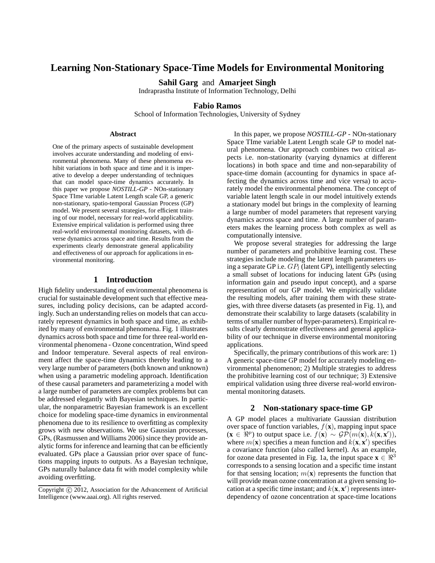# **Learning Non-Stationary Space-Time Models for Environmental Monitoring**

**Sahil Garg** and **Amarjeet Singh**

Indraprastha Institute of Information Technology, Delhi

## **Fabio Ramos**

School of Information Technologies, University of Sydney

#### **Abstract**

One of the primary aspects of sustainable development involves accurate understanding and modeling of environmental phenomena. Many of these phenomena exhibit variations in both space and time and it is imperative to develop a deeper understanding of techniques that can model space-time dynamics accurately. In this paper we propose *NOSTILL-GP* - NOn-stationary Space TIme variable Latent Length scale GP, a generic non-stationary, spatio-temporal Gaussian Process (GP) model. We present several strategies, for efficient training of our model, necessary for real-world applicability. Extensive empirical validation is performed using three real-world environmental monitoring datasets, with diverse dynamics across space and time. Results from the experiments clearly demonstrate general applicability and effectiveness of our approach for applications in environmental monitoring.

## **1 Introduction**

High fidelity understanding of environmental phenomena is crucial for sustainable development such that effective measures, including policy decisions, can be adapted accordingly. Such an understanding relies on models that can accurately represent dynamics in both space and time, as exhibited by many of environmental phenomena. Fig. 1 illustrates dynamics across both space and time for three real-world environmental phenomena - Ozone concentration, Wind speed and Indoor temperature. Several aspects of real environment affect the space-time dynamics thereby leading to a very large number of parameters (both known and unknown) when using a parametric modeling approach. Identification of these causal parameters and parameterizing a model with a large number of parameters are complex problems but can be addressed elegantly with Bayesian techniques. In particular, the nonparametric Bayesian framework is an excellent choice for modeling space-time dynamics in environmental phenomena due to its resilience to overfitting as complexity grows with new observations. We use Gaussian processes, GPs, (Rasmussen and Williams 2006) since they provide analytic forms for inference and learning that can be efficiently evaluated. GPs place a Gaussian prior over space of functions mapping inputs to outputs. As a Bayesian technique, GPs naturally balance data fit with model complexity while avoiding overfitting.

In this paper, we propose *NOSTILL-GP* - NOn-stationary Space TIme variable Latent Length scale GP to model natural phenomena. Our approach combines two critical aspects i.e. non-stationarity (varying dynamics at different locations) in both space and time and non-separability of space-time domain (accounting for dynamics in space affecting the dynamics across time and vice versa) to accurately model the environmental phenomena. The concept of variable latent length scale in our model intuitively extends a stationary model but brings in the complexity of learning a large number of model parameters that represent varying dynamics across space and time. A large number of parameters makes the learning process both complex as well as computationally intensive.

We propose several strategies for addressing the large number of parameters and prohibitive learning cost. These strategies include modeling the latent length parameters using a separate GP i.e.  $GP<sub>l</sub>$  (latent GP), intelligently selecting a small subset of locations for inducing latent GPs (using information gain and pseudo input concept), and a sparse representation of our GP model. We empirically validate the resulting models, after training them with these strategies, with three diverse datasets (as presented in Fig. 1), and demonstrate their scalability to large datasets (scalability in terms of smaller number of hyper-parameters). Empirical results clearly demonstrate effectiveness and general applicability of our technique in diverse environmental monitoring applications.

Specifically, the primary contributions of this work are: 1) A generic space-time GP model for accurately modeling environmental phenomenon; 2) Multiple strategies to address the prohibitive learning cost of our technique; 3) Extensive empirical validation using three diverse real-world environmental monitoring datasets.

## **2 Non-stationary space-time GP**

A GP model places a multivariate Gaussian distribution over space of function variables,  $f(\mathbf{x})$ , mapping input space  $(\mathbf{x} \in \mathbb{R}^p)$  to output space i.e.  $f(\mathbf{x}) \sim \mathcal{GP}(m(\mathbf{x}), k(\mathbf{x}, \mathbf{x}'))$ , where  $m(\mathbf{x})$  specifies a mean function and  $k(\mathbf{x}, \mathbf{x}')$  specifies a covariance function (also called kernel). As an example, for ozone data presented in Fig. 1a, the input space  $\mathbf{x} \in \mathbb{R}^3$ corresponds to a sensing location and a specific time instant for that sensing location;  $m(\mathbf{x})$  represents the function that will provide mean ozone concentration at a given sensing location at a specific time instant; and  $k(\mathbf{x}, \mathbf{x}')$  represents interdependency of ozone concentration at space-time locations

Copyright (c) 2012, Association for the Advancement of Artificial Intelligence (www.aaai.org). All rights reserved.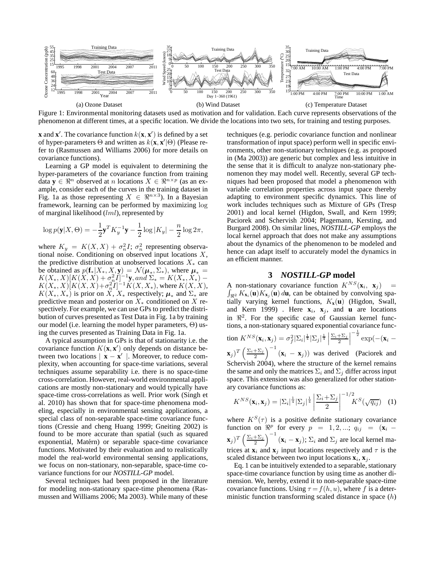



**x** and **x**<sup>'</sup>. The covariance function  $k(\mathbf{x}, \mathbf{x}')$  is defined by a set of hyper-parameters  $\Theta$  and written as  $k(\mathbf{x}, \mathbf{x}' | \Theta)$  (Please refer to (Rasmussen and Williams 2006) for more details on covariance functions).

Learning a GP model is equivalent to determining the hyper-parameters of the covariance function from training data **y**  $\in \mathbb{R}^n$  observed at *n* locations  $X \in \mathbb{R}^{n \times p}$  (as an example, consider each of the curves in the training dataset in Fig. 1a as those representing  $X \in \mathbb{R}^{n \times 3}$ ). In a Bayesian framework, learning can be performed by maximizing log of marginal likelihood  $(lml)$ , represented by

$$
\log p(\mathbf{y}|X,\Theta) = -\frac{1}{2}\mathbf{y}^T K_y^{-1}\mathbf{y} - \frac{1}{2}\log|K_y| - \frac{n}{2}\log 2\pi,
$$

where  $K_y = K(X, X) + \sigma_n^2 I$ ;  $\sigma_n^2$  representing observational noise. Conditioning on observed input locations  $X$ , the predictive distribution at unobserved locations  $X_*$  can be obtained as  $p(\mathbf{f}_* | X_*, X, \mathbf{y}) = \mathcal{N}(\boldsymbol{\mu}_*, \Sigma_*),$  where  $\boldsymbol{\mu}_* =$  $K(X_*, X)[K(X, X) + \sigma_n^2 I]^{-1}$ **y**, and  $\Sigma_* = K(X_*, X_*) - K(X_*, X_*)$  $K(X_*, X)[K(X, X)+\sigma_n^2 I]^{-1}K(X, X_*),$  where  $K(X, X),$  $K(X_*, X_*)$  is prior on X,  $X_*$  respectively;  $\mu_*$  and  $\Sigma_*$  are predictive mean and posterior on  $X_*$  conditioned on X respectively. For example, we can use GPs to predict the distribution of curves presented as Test Data in Fig. 1a by training our model (i.e. learning the model hyper parameters, Θ) using the curves presented as Training Data in Fig. 1a.

A typical assumption in GPs is that of stationarity i.e. the covariance function  $K(\mathbf{x}, \mathbf{x}')$  only depends on distance between two locations  $|\mathbf{x} - \mathbf{x}'|$ . Moreover, to reduce complexity, when accounting for space-time variations, several techniques assume separability i.e. there is no space-time cross-correlation. However, real-world environmental applications are mostly non-stationary and would typically have space-time cross-correlations as well. Prior work (Singh et al. 2010) has shown that for space-time phenomena modeling, especially in environmental sensing applications, a special class of non-separable space-time covariance functions (Cressie and cheng Huang 1999; Gneiting 2002) is found to be more accurate than spatial (such as squared exponential, Matérn) or separable space-time covariance functions. Motivated by their evaluation and to realistically model the real-world environmental sensing applications, we focus on non-stationary, non-separable, space-time covariance functions for our *NOSTILL-GP* model.

Several techniques had been proposed in the literature for modeling non-stationary space-time phenomena (Rasmussen and Williams 2006; Ma 2003). While many of these

techniques (e.g. periodic covariance function and nonlinear transformation of input space) perform well in specific environments, other non-stationary techniques (e.g. as proposed in (Ma 2003)) are generic but complex and less intuitive in the sense that it is difficult to analyze non-stationary phenomenon they may model well. Recently, several GP techniques had been proposed that model a phenomenon with variable correlation properties across input space thereby adapting to environment specific dynamics. This line of work includes techniques such as Mixture of GPs (Tresp 2001) and local kernel (Higdon, Swall, and Kern 1999; Paciorek and Schervish 2004; Plagemann, Kersting, and Burgard 2008). On similar lines, *NOSTILL-GP* employs the local kernel approach that does not make any assumptions about the dynamics of the phenomenon to be modeled and hence can adapt itself to accurately model the dynamics in an efficient manner.

## **3** *NOSTILL-GP* **model**

A non-stationary covariance function  $K^{NS}(\mathbf{x}_i, \mathbf{x}_j)$  =  $\int_{\Re^2} K_{\mathbf{x}_i}(\mathbf{u}) K_{\mathbf{x}_j}(\mathbf{u}) d\mathbf{u}$ , can be obtained by convolving spatially varying kernel functions, K**x**(**u**) (Higdon, Swall, and Kern 1999). Here  $\mathbf{x}_i$ ,  $\mathbf{x}_j$ , and **u** are locations in  $\mathbb{R}^2$ . For the specific case of Gaussian kernel functions, a non-stationary squared exponential covariance function  $K^{NS}(\mathbf{x}_i, \mathbf{x}_j) = \sigma_f^2 |\Sigma_i|^{\frac{1}{4}} |\Sigma_j|^{\frac{1}{4}}$  $\Sigma_i+\Sigma_j$  $\frac{+\Sigma_j}{2}$  $-\frac{1}{2} \exp(-(\mathbf{x}_i (\mathbf{x}_j)^T\left(\frac{\Sigma_i+\Sigma_j}{2}\right)$  $\left(\frac{+ \Sigma_j}{2}\right)^{-1}$  (**x**<sub>i</sub> – **x**<sub>j</sub>)) was derived (Paciorek and Schervish 2004), where the structure of the kernel remains the same and only the matrices  $\Sigma_i$  and  $\Sigma_j$  differ across input space. This extension was also generalized for other stationary covariance functions as:

$$
K^{NS}(\mathbf{x}_i, \mathbf{x}_j) = |\Sigma_i|^{\frac{1}{4}} |\Sigma_j|^{\frac{1}{4}} \left| \frac{\Sigma_i + \Sigma_j}{2} \right|^{-1/2} K^S(\sqrt{q_{ij}}) \quad (1)
$$

where  $K^{S}(\tau)$  is a positive definite stationary covariance function on  $\Re^p$  for every  $p = 1, 2, ...; q_{ij} = (\mathbf{x}_i - \mathbf{x}_j)$  $(\mathbf{x}_j)^T\left(\frac{\Sigma_i+\Sigma_j}{2}\right)$  $\left(\frac{+\Sigma_j}{2}\right)^{-1}(\mathbf{x}_i - \mathbf{x}_j);$   $\Sigma_i$  and  $\Sigma_j$  are local kernel matrices at  $\mathbf{x}_i$  and  $\mathbf{x}_j$  input locations respectively and  $\tau$  is the scaled distance between two input locations  $\mathbf{x}_i$ ,  $\mathbf{x}_j$ .

Eq. 1 can be intuitively extended to a separable, stationary space-time covariance function by using time as another dimension. We, hereby, extend it to non-separable space-time covariance functions. Using  $\tau = f(h, u)$ , where f is a deterministic function transforming scaled distance in space  $(h)$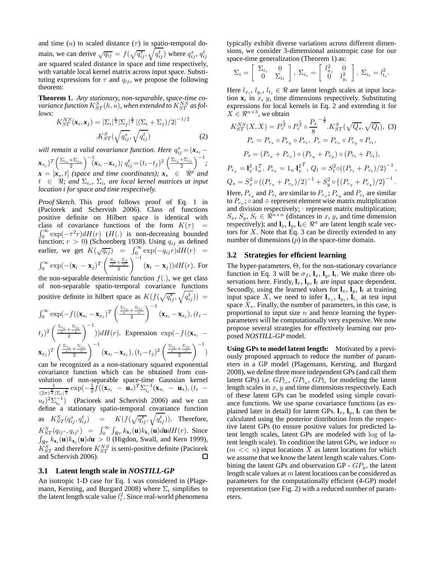and time (u) to scaled distance ( $\tau$ ) in spatio-temporal domain, we can derive  $\sqrt{q_{ij}} = f(\sqrt{q_{ij}^s}, \sqrt{q_{ij}^t})$  where  $q_{ij}^s, q_{ij}^t$ are squared scaled distance in space and time respectively, with variable local kernel matrix across input space. Substituting expressions for  $\tau$  and  $q_{ij}$ , we propose the following theorem:

**Theorem 1.** *Any stationary, non-separable, space-time co*variance function  $K^S_{ST}(h,u)$ , when extended to  $K^{NS}_{ST}$  as fol*lows:*

$$
K_{ST}^{NS}(\mathbf{x}_i, \mathbf{x}_j) = |\Sigma_i|^{\frac{1}{4}} |\Sigma_j|^{\frac{1}{4}} |(\Sigma_i + \Sigma_j)/2|^{-1/2}
$$
  
 
$$
K_{ST}^{S}(\sqrt{q_{ij}^s}, \sqrt{q_{ij}^t})
$$
 (2)

*will remain a valid covariance function. Here*  $q_{ij}^s = (\mathbf{x}_{si} - \mathbf{y}_{si})$ 

 $\left( \mathbf{x}_{s_j} \right)^T \left( \frac{\Sigma_{i_s} + \Sigma_{j_s}}{2} \right)^{-1} \left( \mathbf{x}_{s_i} - \mathbf{x}_{s_j} \right); q_{ij}^t = (t_i - t_j)^2 \left( \frac{\Sigma_{i_t} + \Sigma_{j_t}}{2} \right)^{-1};$  $\mathbf{x} = [\mathbf{x}_s, t]$  *(space and time coordinates);*  $\mathbf{x}_s \in \Re^p$  *and*  $t \in \Re$ ; and  $\Sigma_{i_s}$ ,  $\Sigma_{i_t}$  are local kernel matrices at input *location i for space and time respectively.*

*Proof Sketch.* This proof follows proof of Eq. 1 in (Paciorek and Schervish 2006). Class of functions positive definite on Hilbert space is identical with class of covariance functions of the form  $K(\tau)$  =  $\int_0^\infty \exp(-\tau^2 r) dH(r)$  (*H*(.) is non-decreasing bounded function;  $r > 0$ ) (Schoenberg 1938). Using  $q_{ij}$  as defined earlier, we get  $K(\sqrt{q_{ij}})$  =  $\int_0^\infty \exp(-q_{ij}r)dH(r)$  =  $\int_0^\infty \exp(-({\mathbf{x}}_i - {\mathbf{x}}_j)^T \left(\frac{\frac{\Sigma_i}{r} + \frac{\Sigma_j}{r}}{2}\right)$  $\setminus$ <sup>-1</sup>  $(\mathbf{x}_i - \mathbf{x}_j)$ ) $dH(r)$ . For the non-separable deterministic function  $f(.)$ , we get class

of non-separable spatio-temporal covariance functions positive definite in hilbert space as  $K(f(\sqrt{q_{ij}^s}, \sqrt{q_{ij}^t})) =$ 

$$
\int_0^\infty \exp\left(-f((\mathbf{x}_{s_i} - \mathbf{x}_{s_j})^T \left(\frac{\frac{\Sigma_{i_s}}{r} + \frac{\Sigma_{j_s}}{r}}{2}\right)^{-1} (\mathbf{x}_{s_i} - \mathbf{x}_{s_j}), (t_i - t_j)^2 \left(\frac{\frac{\Sigma_{i_t}}{r} + \frac{\Sigma_{j_t}}{r}}{2}\right)^{-1})\right) dH(r). \text{ Expression } \exp\left(-f((\mathbf{x}_{s_i} - \mathbf{x}_{s_j})^T \left(\frac{\frac{\Sigma_{i_s}}{r} + \frac{\Sigma_{j_s}}{r}}{2}\right)^{-1} (\mathbf{x}_{s_i} - \mathbf{x}_{s_j}), (t_i - t_j)^2 \left(\frac{\frac{\Sigma_{i_t}}{r} + \frac{\Sigma_{j_t}}{r}}{2}\right)^{-1})\right)
$$

can be recognized as a non-stationary squared exponential covariance function which can be obtained from convolution of non-separable space-time Gaussian kernel<br> $\frac{1}{(1-\epsilon)^{1/2}}$   $\exp(-\frac{1}{2}f((\mathbf{x} - \mathbf{u})^T \nabla^{-1} (\mathbf{x} - \mathbf{u})) (t - \mathbf{u})$  $\frac{1}{(2\pi)^{\frac{p}{2}}|\Sigma_i|^{\frac{1}{2}}}\exp(-\frac{1}{2}\hat{f}((\mathbf{x}_{s_i} - \mathbf{u}_s)^T\Sigma_{i_s}^{-1}(\mathbf{x}_{s_i} - \mathbf{u}_s),(t_i (u_t)^2 \sum_{i}^{-1}$ ) (Paciorek and Schervish 2006) and we can define <sup>t</sup>a stationary spatio-temporal covariance function as  $K_{ST}^S(q_{ij}^s, q_{ij}^t)$  =  $K(f(\sqrt{q_{ij}^s}, \sqrt{q_{ij}^t})).$  Therefore,  $K_{ST}^S(q_{ij^s}, q_{ij^t}) = \int_0^\infty \int_{\Re^p} k_{\mathbf{x}_i}(\mathbf{u}) k_{\mathbf{x}_j}(\mathbf{u}) d\mathbf{u} dH(r)$ . Since  $\int_{\Re_z^p} k_{\mathbf{x}_i}(\mathbf{u})k_{\mathbf{x}_j}(\mathbf{u})d\mathbf{u} > 0$  (Higdon, Swall, and Kern 1999),  $K_{ST}^S$  and therefore  $K_{ST}^{NS}$  is semi-positive definite (Paciorek and Schervish 2006).

#### **3.1 Latent length scale in** *NOSTILL-GP*

An isotropic 1-D case for Eq. 1 was considered in (Plagemann, Kersting, and Burgard 2008) where  $\Sigma_i$  simplifies to the latent length scale value  $l_i^2$ . Since real-world phenomena

typically exhibit diverse variations across different dimensions, we consider 3-dimensional anisotropic case for our space-time generalization (Theorem 1) as:

$$
\Sigma_i = \begin{bmatrix} \Sigma_{i_s} & 0 \\ 0 & \Sigma_{i_t} \end{bmatrix}, \ \Sigma_{i_s} = \begin{bmatrix} l_{x_i}^2 & 0 \\ 0 & l_{y_i}^2 \end{bmatrix}, \ \Sigma_{i_t} = l_{t_i}^2.
$$

Here  $l_{x_i}, l_{y_i}, l_{t_i} \in \Re$  are latent length scales at input location  $\mathbf{x}_i$  in  $x$ ,  $y$ , time dimensions respectively. Substituting expressions for local kernels in Eq. 2 and extending it for  $X \in \mathbb{R}^{n \times 3}$ , we obtain

$$
K_{ST}^{NS}(X, X) = P_{r}^{\frac{1}{4}} \circ P_{c}^{\frac{1}{4}} \circ \frac{P_{s}^{-\frac{1}{2}}}{8} \cdot K_{ST}^{S}(\sqrt{Q_{s}}, \sqrt{Q_{t}}), (3)
$$
  
\n
$$
P_{r} = P_{r_{x}} \circ P_{r_{y}} \circ P_{r_{t}}, P_{c} = P_{c_{x}} \circ P_{c_{y}} \circ P_{c_{t}},
$$
  
\n
$$
P_{s} = (P_{r_{x}} + P_{c_{x}}) \circ (P_{r_{y}} + P_{c_{y}}) \circ (P_{r_{t}} + P_{c_{t}}),
$$
  
\n
$$
P_{r_{x}} = \mathbf{I}_{x}^{2} \cdot \mathbf{I}_{n}^{T}, P_{c_{x}} = \mathbf{1}_{n} \cdot \mathbf{I}_{x}^{2T}, Q_{t} = S_{t}^{2} \circ ((P_{r_{t}} + P_{c_{t}})/2)^{-1},
$$
  
\n
$$
Q_{s} = S_{x}^{2} \circ ((P_{r_{x}} + P_{c_{x}})/2)^{-1} + S_{y}^{2} \circ ((P_{r_{y}} + P_{c_{y}})/2)^{-1}.
$$

Here,  $P_{r_y}$  and  $P_{r_t}$  are similar to  $P_{r_x}$ ;  $P_{c_y}$  and  $P_{c_t}$  are similar to  $P_{c_x}$ ;  $\circ$  and  $\div$  represent element wise matrix multiplication and division respectively; · represent matrix multiplication;  $S_x, S_y, S_t \in \mathbb{R}^{n \times n}$  (distances in x, y, and time dimension respectively); and  $\mathbf{l}_x$ ,  $\mathbf{l}_y$ ,  $\mathbf{l}_t \in \mathbb{R}^n$  are latent length scale vectors for  $X$ . Note that Eq. 3 can be directly extended to any number of dimensions  $(p)$  in the space-time domain.

#### **3.2 Strategies for efficient learning**

The hyper-parameters,  $\Theta$ , for the non-stationary covariance function in Eq. 3 will be  $\sigma_f$ ,  $\mathbf{l}_x$ ,  $\mathbf{l}_y$ ,  $\mathbf{l}_t$ . We make three observations here. Firstly,  $\mathbf{l}_x$ ,  $\mathbf{l}_y$ ,  $\mathbf{l}_t$  are input space dependent. Secondly, using the learned values for  $\mathbf{l}_x$ ,  $\mathbf{l}_y$ ,  $\mathbf{l}_t$  at training input space X, we need to infer  $\mathbf{l}_{x_*}, \mathbf{l}_{y_*}, \mathbf{l}_{t_*}$  at test input space  $X_*$ . Finally, the number of parameters, in this case, is proportional to input size  $n$  and hence learning the hyperparameters will be computationally very expensive. We now propose several strategies for effectively learning our proposed *NOSTILL-GP* model.

**Using GPs to model latent length:** Motivated by a previously proposed approach to reduce the number of parameters in a GP model (Plagemann, Kersting, and Burgard 2008), we define three more independent GPs (and call them latent GPs) i.e.  $GP_{l_x}$ ,  $GP_{l_y}$ ,  $GP_{l_t}$  for modeling the latent length scales in  $x$ ,  $y$  and time dimensions respectively. Each of these latent GPs can be modeled using simple covariance functions. We use sparse covariance functions (as explained later in detail) for latent GPs.  $\mathbf{l}_x$ ,  $\mathbf{l}_y$ ,  $\mathbf{l}_t$  can then be calculated using the posterior distribution from the respective latent GPs (to ensure positive values for predicted latent length scales, latent GPs are modeled with log of latent length scale). To condition the latent GPs, we induce  $m$  $(m \ll n)$  input locations X as latent locations for which we assume that we know the latent length scale values. Combining the latent GPs and observation GP -  $GP<sub>y</sub>$ , the latent length scale values at m latent locations can be considered as parameters for the computationally efficient (4-GP) model representation (see Fig. 2) with a reduced number of parameters.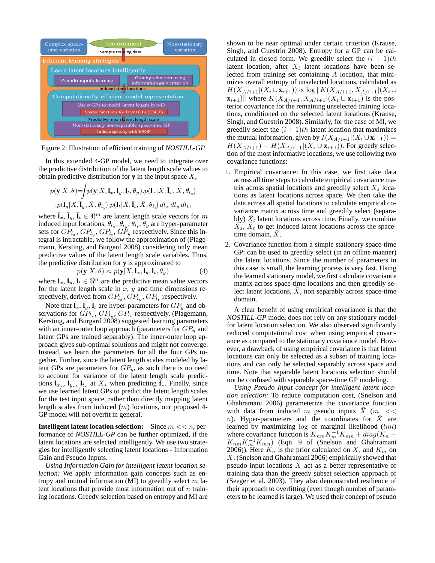

Figure 2: Illustration of efficient training of *NOSTILL-GP*

In this extended 4-GP model, we need to integrate over the predictive distribution of the latent length scale values to obtain predictive distribution for **y** in the input space X,

$$
p(\mathbf{y}|X,\theta) = \int p(\mathbf{y}|X,\mathbf{l}_x,\mathbf{l}_y,\mathbf{l}_t,\theta_y) . p(\mathbf{l}_x|X,\bar{\mathbf{l}}_x,\bar{X},\theta_{l_x})
$$

$$
p(\mathbf{l}_y|X,\bar{\mathbf{l}}_y,\bar{X},\theta_{l_y}) . p(\mathbf{l}_t|X,\bar{\mathbf{l}}_t,\bar{X},\theta_{l_t}) dl_x dl_y dl_t,
$$

where  $\bar{\mathbf{l}}_x$ ,  $\bar{\mathbf{l}}_y$ ,  $\bar{\mathbf{l}}_t \in \mathbb{R}^m$  are latent length scale vectors for m induced input locations;  $\theta_{l_x}, \theta_{l_y}, \theta_{l_t}, \theta_y$  are hyper-parameter sets for  $GP_{l_x}$ ,  $GP_{l_y}$ ,  $GP_{l_t}$ ,  $GP_y$  respectively. Since this integral is intractable, we follow the approximation of (Plagemann, Kersting, and Burgard 2008) considering only mean predictive values of the latent length scale variables. Thus, the predictive distribution for **y** is approximated to

$$
p(\mathbf{y}|X,\theta) \approx p(\mathbf{y}|X,\mathbf{l}_x,\mathbf{l}_y,\mathbf{l}_t,\theta_y)
$$
 (4)

where  $\mathbf{l}_x, \mathbf{l}_y, \mathbf{l}_t \in \mathbb{R}^n$  are the predictive mean value vectors for the latent length scale in  $x$ ,  $y$  and time dimensions respectively, derived from  $GP_{l_x}$ ,  $GP_{l_y}$ ,  $GP_{l_t}$  respectively.

Note that  $\mathbf{I}_x$ ,  $\mathbf{I}_y$ ,  $\mathbf{I}_t$  are hyper-parameters for  $GP_y$  and observations for  $GP_{l_x}$ ,  $GP_{l_y}$ ,  $GP_{l_t}$  respectively. (Plagemann, Kersting, and Burgard 2008) suggested learning parameters with an inner-outer loop approach (parameters for  $GP<sub>y</sub>$  and latent GPs are trained separably). The inner-outer loop approach gives sub-optimal solutions and might not converge. Instead, we learn the parameters for all the four GPs together. Further, since the latent length scales modeled by latent GPs are parameters for  $GP<sub>y</sub>$ , as such there is no need to account for variance of the latent length scale predictions  $\mathbf{l}_{x_*}, \mathbf{l}_{y_*}, \mathbf{l}_{t_*}$  at  $X_*$  when predicting  $\mathbf{f}_*$ . Finally, since we use learned latent GPs to predict the latent length scales for the test input space, rather than directly mapping latent length scales from induced (m) locations, our proposed 4- GP model will not overfit in general.

**Intelligent latent location selection:** Since  $m \ll n$ , performance of *NOSTILL-GP* can be further optimized, if the latent locations are selected intelligently. We use two strategies for intelligently selecting latent locations - Information Gain and Pseudo Inputs.

*Using Information Gain for intelligent latent location selection:* We apply information gain concepts such as entropy and mutual information (MI) to greedily select  $m$  latent locations that provide most information out of  $n$  training locations. Greedy selection based on entropy and MI are

shown to be near optimal under certain criterion (Krause, Singh, and Guestrin 2008). Entropy for a GP can be calculated in closed form. We greedily select the  $(i + 1)$ th latent location, after  $X_i$  latent locations have been selected from training set containing  $A$  location, that minimizes overall entropy of unselected locations, calculated as  $H(X_{A/i+1}|(X_i \cup **x**i+1})) \propto \log ||K(X_{A/i+1}, X_{A/i+1}|(X_i \cup$ **x**<sub>i+1</sub>)|| where  $K(X_{A/i+1}, X_{A/i+1} | (X_i \cup \mathbf{x}_{i+1})$  is the posterior covariance for the remaining unselected training locations, conditioned on the selected latent locations (Krause, Singh, and Guestrin 2008). Similarly, for the case of MI, we greedily select the  $(i + 1)th$  latent location that maximizes the mutual information, given by  $I(X_{A/i+1}|(X_i \cup \mathbf{x}_{i+1})) =$  $H(X_{A/i+1}) - H(X_{A/i+1} | (X_i \cup \mathbf{x}_{i+1}))$ . For greedy selection of the most informative locations, we use following two covariance functions:

- 1. Empirical covariance: In this case, we first take data across all time steps to calculate empirical covariance matrix across spatial locations and greedily select  $\bar{X}_s$  locations as latent locations across space. We then take the data across all spatial locations to calculate empirical covariance matrix across time and greedily select (separably)  $\bar{X}_t$  latent locations across time. Finally, we combine  $\overline{X}_s$ ,  $\overline{X}_t$  to get induced latent locations across the spacetime domain,  $\overline{X}$ .
- 2. Covariance function from a simple stationary space-time GP: can be used to greedily select (in an offline manner) the latent locations. Since the number of parameters in this case is small, the learning process is very fast. Using the learned stationary model, we first calculate covariance matrix across space-time locations and then greedily select latent locations,  $\overline{X}$ , non separably across space-time domain.

A clear benefit of using empirical covariance is that the *NOSTILL-GP* model does not rely on any stationary model for latent location selection. We also observed significantly reduced computational cost when using empirical covariance as compared to the stationary covariance model. However, a drawback of using empirical covariance is that latent locations can only be selected as a subset of training locations and can only be selected separably across space and time. Note that separable latent locations selection should not be confused with separable space-time GP modeling.

*Using Pseudo Input concept for intelligent latent location selection:* To reduce computation cost, (Snelson and Ghahramani 2006) parameterize the covariance function with data from induced m pseudo inputs  $\bar{X}$  (m << n). Hyper-parameters and the coordinates for  $\overline{X}$  are learned by maximizing  $log$  of marginal likelihood  $(lml)$ where covariance function is  $K_{nm}K_m^{-1}K_{mn} + diag(K_n K_{nm}K_m^{-1}K_{mn}$ ) (Eqn. 9 of (Snelson and Ghahramani 2006)). Here  $K_n$  is the prior calculated on X, and  $K_m$  on  $\overline{X}$ . (Snelson and Ghahramani 2006) empirically showed that pseudo input locations  $X$  act as a better representative of training data than the greedy subset selection approach of (Seeger et al. 2003). They also demonstrated resilience of their approach to overfitting (even though number of parameters to be learned is large). We used their concept of pseudo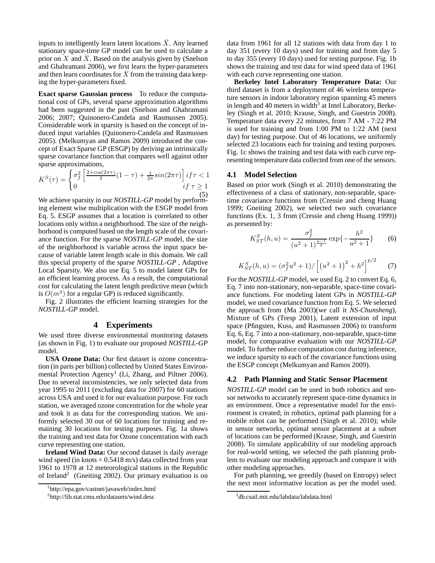inputs to intelligently learn latent locations  $\bar{X}$ . Any learned stationary space-time GP model can be used to calculate a prior on X and  $\overline{X}$ . Based on the analysis given by (Snelson and Ghahramani 2006), we first learn the hyper-parameters and then learn coordinates for  $\bar{X}$  from the training data keeping the hyper-parameters fixed.

**Exact sparse Gaussian process** To reduce the computational cost of GPs, several sparse approximation algorithms had been suggested in the past (Snelson and Ghahramani 2006; 2007; Quinonero-Candela and Rasmussen 2005). Considerable work in sparsity is based on the concept of induced input variables (Quinonero-Candela and Rasmussen 2005). (Melkumyan and Ramos 2009) introduced the concept of Exact Sparse GP (ESGP) by deriving an intrinsically sparse covariance function that compares well against other sparse approximations,

$$
K^{S}(\tau) = \begin{cases} \sigma_f^2 \left[ \frac{2 + \cos(2\pi\tau)}{3} (1 - \tau) + \frac{1}{2\pi} \sin(2\pi\tau) \right] if \tau < 1\\ 0 & if \tau \ge 1 \end{cases}
$$

We achieve sparsity in our *NOSTILL-GP* model by performing element wise multiplication with the ESGP model from Eq. 5. ESGP assumes that a location is correlated to other locations only within a neighborhood. The size of the neighborhood is computed based on the length scale of the covariance function. For the sparse *NOSTILL-GP* model, the size of the neighborhood is variable across the input space because of variable latent length scale in this domain. We call this special property of the sparse *NOSTILL-GP* , Adaptive Local Sparsity. We also use Eq. 5 to model latent GPs for an efficient learning process. As a result, the computational cost for calculating the latent length predictive mean (which is  $O(m^3)$  for a regular GP) is reduced significantly.

Fig. 2 illustrates the efficient learning strategies for the *NOSTILL-GP* model.

#### **4 Experiments**

We used three diverse environmental monitoring datasets (as shown in Fig. 1) to evaluate our proposed *NOSTILL-GP* model.

**USA Ozone Data:** Our first dataset is ozone concentration (in parts per billion) collected by United States Environmental Protection Agency<sup>1</sup> (Li, Zhang, and Piltner 2006). Due to several inconsistencies, we only selected data from year 1995 to 2011 (excluding data for 2007) for 60 stations across USA and used it for our evaluation purpose. For each station, we averaged ozone concentration for the whole year and took it as data for the corresponding station. We uniformly selected 30 out of 60 locations for training and remaining 30 locations for testing purposes. Fig. 1a shows the training and test data for Ozone concentration with each curve representing one station.

**Ireland Wind Data:** Our second dataset is daily average wind speed (in knots  $= 0.5418$  m/s) data collected from year 1961 to 1978 at 12 meteorological stations in the Republic of Ireland<sup>2</sup> (Gneiting 2002). Our primary evaluation is on

data from 1961 for all 12 stations with data from day 1 to day 351 (every 10 days) used for training and from day 5 to day 355 (every 10 days) used for testing purpose. Fig. 1b shows the training and test data for wind speed data of 1961 with each curve representing one station.

**Berkeley Intel Laboratory Temperature Data:** Our third dataset is from a deployment of 46 wireless temperature sensors in indoor laboratory region spanning 45 meters in length and 40 meters in width<sup>3</sup> at Intel Laboratory, Berkeley (Singh et al. 2010; Krause, Singh, and Guestrin 2008). Temperature data every 22 minutes, from 7 AM - 7:22 PM is used for training and from 1:00 PM to 1:22 AM (next day) for testing purpose. Out of 46 locations, we uniformly selected 23 locations each for training and testing purposes. Fig. 1c shows the training and test data with each curve representing temperature data collected from one of the sensors.

#### **4.1 Model Selection**

Based on prior work (Singh et al. 2010) demonstrating the effectiveness of a class of stationary, non-separable, spacetime covariance functions from (Cressie and cheng Huang 1999; Gneiting 2002), we selected two such covariance functions (Ex. 1, 3 from (Cressie and cheng Huang 1999)) as presented by:

$$
K_{ST}^{S}(h, u) = \frac{\sigma_f^2}{(u^2 + 1)^{\frac{p-1}{2}}} \exp\{-\frac{h^2}{u^2 + 1}\}\
$$
 (6)

$$
K_{ST}^{S}(h, u) = (\sigma_f^2 u^2 + 1) / \left[ (u^2 + 1)^2 + h^2 \right]^{p/2}
$$
 (7)

For the *NOSTILL-GP* model, we used Eq. 2 to convert Eq. 6, Eq. 7 into non-stationary, non-separable, space-time covariance functions. For modeling latent GPs in *NOSTILL-GP* model, we used covariance function from Eq. 5. We selected the approach from (Ma 2003)(we call it *NS-Chunsheng*), Mixture of GPs (Tresp 2001), Latent extension of input space (Pfingsten, Kuss, and Rasmussen 2006) to transform Eq. 6, Eq. 7 into a non-stationary, non-separable, space-time model, for comparative evaluation with our *NOSTILL-GP* model. To further reduce computation cost during inference, we induce sparsity to each of the covariance functions using the ESGP concept (Melkumyan and Ramos 2009).

# **4.2 Path Planning and Static Sensor Placement**

*NOSTILL-GP* model can be used in both robotics and sensor networks to accurately represent space-time dynamics in an environment. Once a representative model for the environment is created; in robotics, optimal path planning for a mobile robot can be performed (Singh et al. 2010); while in sensor networks, optimal sensor placement at a subset of locations can be performed (Krause, Singh, and Guestrin 2008). To simulate applicability of our modeling approach for real-world setting, we selected the path planning problem to evaluate our modeling approach and compare it with other modeling approaches.

For path planning, we greedily (based on Entropy) select the next most informative location as per the model used.

<sup>1</sup> http://epa.gov/castnet/javaweb/index.html

<sup>2</sup> http://lib.stat.cmu.edu/datasets/wind.desc

<sup>3</sup> db.csail.mit.edu/labdata/labdata.html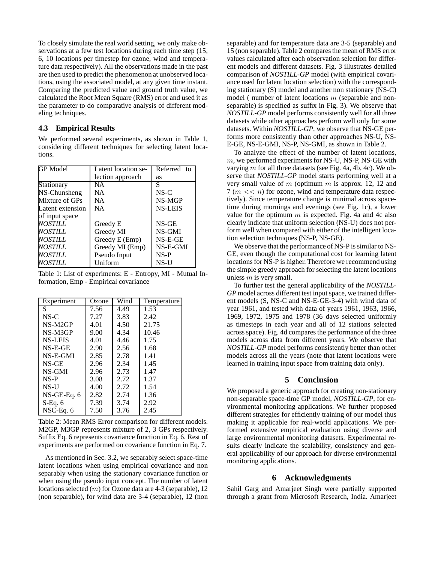To closely simulate the real world setting, we only make observations at a few test locations during each time step  $(15, 12)$ 6, 10 locations per timestep for ozone, wind and temperature data respectively). All the observations made in the past are then used to predict the phenomenon at unobserved locations, using the associated model, at any given time instant. Comparing the predicted value and ground truth value, we calculated the Root Mean Square (RMS) error and used it as the parameter to do comparative analysis of different modeling techniques.

## **4.3 Empirical Results**

We performed several experiments, as shown in Table 1, considering different techniques for selecting latent locations.

| <b>GP</b> Model  | Latent location se- | Referred to    |
|------------------|---------------------|----------------|
|                  | lection approach    | as             |
| Stationary       | NA                  | S              |
| NS-Chunsheng     | NA.                 | $NS-C$         |
| Mixture of GPs   | <b>NA</b>           | NS-MGP         |
| Latent extension | NA                  | <b>NS-LEIS</b> |
| of input space   |                     |                |
| NOSTILL          | Greedy E            | $NS-GE$        |
| NOSTILL          | Greedy MI           | NS-GMI         |
| NOSTILL          | Greedy E (Emp)      | $NS-E-GE$      |
| NOSTILL          | Greedy MI (Emp)     | NS-E-GMI       |
| NOSTILL          | Pseudo Input        | $NS-P$         |
| NOSTILL          | Uniform             | $NS-U$         |

Table 1: List of experiments: E - Entropy, MI - Mutual Information, Emp - Empirical covariance

| Experiment     | Ozone | Wind | Temperature |
|----------------|-------|------|-------------|
| S              | 7.56  | 4.49 | 1.53        |
| $NS-C$         | 7.27  | 3.83 | 2.42        |
| NS-M2GP        | 4.01  | 4.50 | 21.75       |
| NS-M3GP        | 9.00  | 4.34 | 10.46       |
| <b>NS-LEIS</b> | 4.01  | 4.46 | 1.75        |
| $NS-E-GE$      | 2.90  | 2.56 | 1.68        |
| NS-E-GMI       | 2.85  | 2.78 | 1.41        |
| $NS-GE$        | 2.96  | 2.34 | 1.45        |
| NS-GMI         | 2.96  | 2.73 | 1.47        |
| $NS-P$         | 3.08  | 2.72 | 1.37        |
| NS-U           | 4.00  | 2.72 | 1.54        |
| $NS-GE-Eq.6$   | 2.82  | 2.74 | 1.36        |
| $S-Eq.6$       | 7.39  | 3.74 | 2.92        |
| $NSC-Eq.6$     | 7.50  | 3.76 | 2.45        |

Table 2: Mean RMS Error comparison for different models. M2GP, M3GP represents mixture of 2, 3 GPs respectively. Suffix Eq. 6 represents covariance function in Eq. 6. Rest of experiments are performed on covariance function in Eq. 7.

As mentioned in Sec. 3.2, we separably select space-time latent locations when using empirical covariance and non separably when using the stationary covariance function or when using the pseudo input concept. The number of latent locations selected (*m*) for Ozone data are 4-3 (separable), 12 (non separable), for wind data are 3-4 (separable), 12 (non

separable) and for temperature data are 3-5 (separable) and 15 (non separable). Table 2 compares the mean of RMS error values calculated after each observation selection for different models and different datasets. Fig. 3 illustrates detailed comparison of *NOSTILL-GP* model (with empirical covariance used for latent location selection) with the corresponding stationary (S) model and another non stationary (NS-C) model ( number of latent locations  $m$  (separable and nonseparable) is specified as suffix in Fig. 3). We observe that *NOSTILL-GP* model performs consistently well for all three datasets while other approaches perform well only for some datasets. Within *NOSTILL-GP*, we observe that NS-GE performs more consistently than other approaches NS-U, NS-E-GE, NS-E-GMI, NS-P, NS-GMI, as shown in Table 2.

To analyze the effect of the number of latent locations, m, we performed experiments for NS-U, NS-P, NS-GE with varying  $m$  for all three datasets (see Fig. 4a, 4b, 4c). We observe that *NOSTILL-GP* model starts performing well at a very small value of m (optimum  $m$  is approx. 12, 12 and  $7 (m \ll n)$  for ozone, wind and temperature data respectively). Since temperature change is minimal across spacetime during mornings and evenings (see Fig. 1c), a lower value for the optimum  $m$  is expected. Fig. 4a and 4c also clearly indicate that uniform selection (NS-U) does not perform well when compared with either of the intelligent location selection techniques (NS-P, NS-GE).

We observe that the performance of NS-P is similar to NS-GE, even though the computational cost for learning latent locations for NS-P is higher. Therefore we recommend using the simple greedy approach for selecting the latent locations unless  $m$  is very small.

To further test the general applicability of the *NOSTILL-GP* model across different test input space, we trained different models (S, NS-C and NS-E-GE-3-4) with wind data of year 1961, and tested with data of years 1961, 1963, 1966, 1969, 1972, 1975 and 1978 (36 days selected uniformly as timesteps in each year and all of 12 stations selected across space). Fig. 4d compares the performance of the three models across data from different years. We observe that *NOSTILL-GP* model performs consistently better than other models across all the years (note that latent locations were learned in training input space from training data only).

# **5 Conclusion**

We proposed a generic approach for creating non-stationary non-separable space-time GP model, *NOSTILL-GP*, for environmental monitoring applications. We further proposed different strategies for efficiently training of our model thus making it applicable for real-world applications. We performed extensive empirical evaluation using diverse and large environmental monitoring datasets. Experimental results clearly indicate the scalability, consistency and general applicability of our approach for diverse environmental monitoring applications.

# **6 Acknowledgments**

Sahil Garg and Amarjeet Singh were partially supported through a grant from Microsoft Research, India. Amarjeet